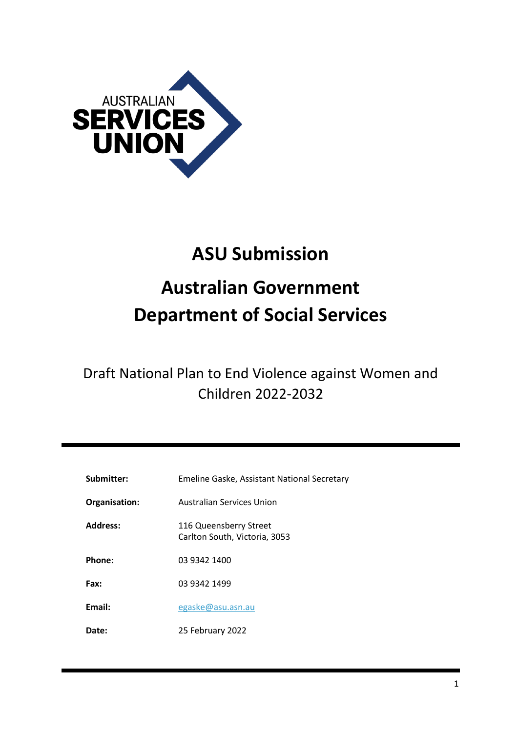

# **ASU Submission Australian Government Department of Social Services**

Draft National Plan to End Violence against Women and Children 2022-2032

| Submitter:      | Emeline Gaske, Assistant National Secretary             |
|-----------------|---------------------------------------------------------|
| Organisation:   | Australian Services Union                               |
| <b>Address:</b> | 116 Queensberry Street<br>Carlton South, Victoria, 3053 |
| Phone:          | 03 9342 1400                                            |
| Fax:            | 03 9342 1499                                            |
| Email:          | egaske@asu.asn.au                                       |
| <b>Date:</b>    | 25 February 2022                                        |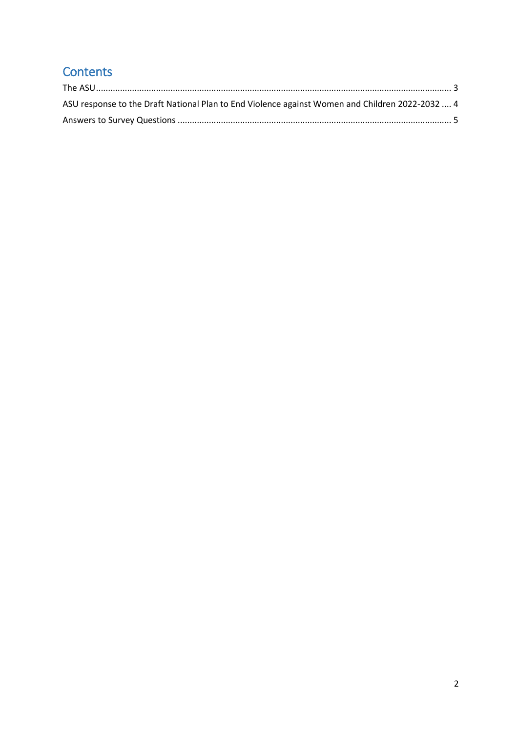## **Contents**

| ASU response to the Draft National Plan to End Violence against Women and Children 2022-2032  4 |  |
|-------------------------------------------------------------------------------------------------|--|
|                                                                                                 |  |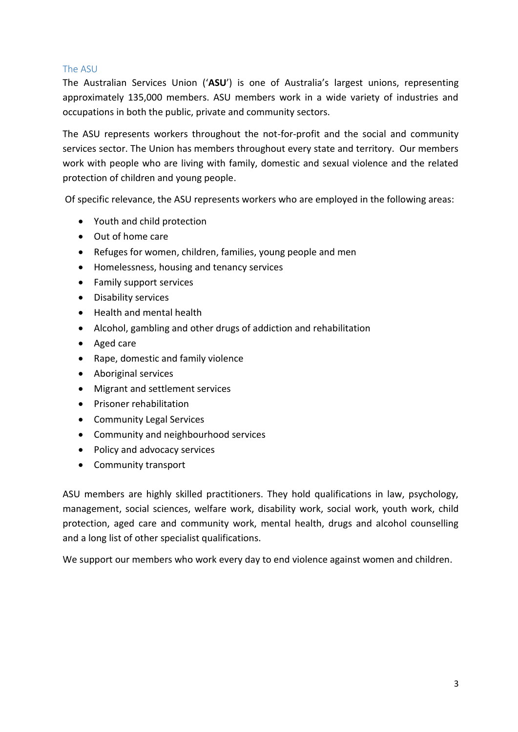#### <span id="page-2-0"></span>The ASU

The Australian Services Union ('**ASU**') is one of Australia's largest unions, representing approximately 135,000 members. ASU members work in a wide variety of industries and occupations in both the public, private and community sectors.

The ASU represents workers throughout the not-for-profit and the social and community services sector. The Union has members throughout every state and territory. Our members work with people who are living with family, domestic and sexual violence and the related protection of children and young people.

Of specific relevance, the ASU represents workers who are employed in the following areas:

- Youth and child protection
- Out of home care
- Refuges for women, children, families, young people and men
- Homelessness, housing and tenancy services
- Family support services
- Disability services
- Health and mental health
- Alcohol, gambling and other drugs of addiction and rehabilitation
- Aged care
- Rape, domestic and family violence
- Aboriginal services
- Migrant and settlement services
- **•** Prisoner rehabilitation
- Community Legal Services
- Community and neighbourhood services
- Policy and advocacy services
- Community transport

ASU members are highly skilled practitioners. They hold qualifications in law, psychology, management, social sciences, welfare work, disability work, social work, youth work, child protection, aged care and community work, mental health, drugs and alcohol counselling and a long list of other specialist qualifications.

We support our members who work every day to end violence against women and children.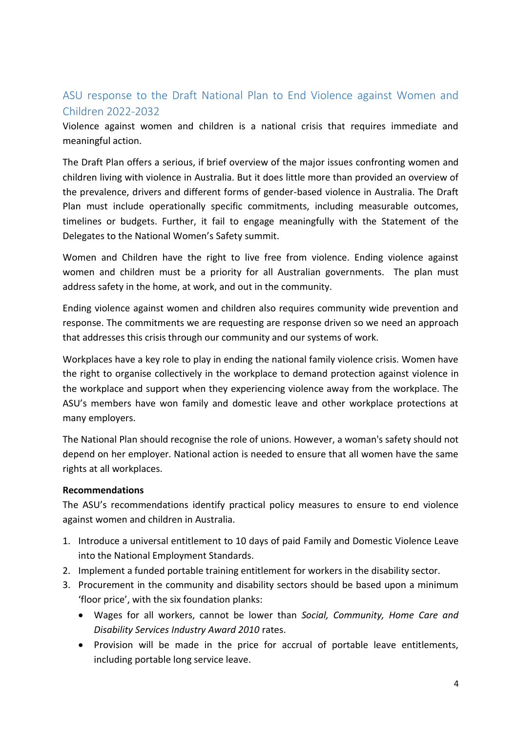## <span id="page-3-0"></span>ASU response to the Draft National Plan to End Violence against Women and Children 2022-2032

Violence against women and children is a national crisis that requires immediate and meaningful action.

The Draft Plan offers a serious, if brief overview of the major issues confronting women and children living with violence in Australia. But it does little more than provided an overview of the prevalence, drivers and different forms of gender-based violence in Australia. The Draft Plan must include operationally specific commitments, including measurable outcomes, timelines or budgets. Further, it fail to engage meaningfully with the Statement of the Delegates to the National Women's Safety summit.

Women and Children have the right to live free from violence. Ending violence against women and children must be a priority for all Australian governments. The plan must address safety in the home, at work, and out in the community.

Ending violence against women and children also requires community wide prevention and response. The commitments we are requesting are response driven so we need an approach that addresses this crisis through our community and our systems of work.

Workplaces have a key role to play in ending the national family violence crisis. Women have the right to organise collectively in the workplace to demand protection against violence in the workplace and support when they experiencing violence away from the workplace. The ASU's members have won family and domestic leave and other workplace protections at many employers.

The National Plan should recognise the role of unions. However, a woman's safety should not depend on her employer. National action is needed to ensure that all women have the same rights at all workplaces.

#### **Recommendations**

The ASU's recommendations identify practical policy measures to ensure to end violence against women and children in Australia.

- 1. Introduce a universal entitlement to 10 days of paid Family and Domestic Violence Leave into the National Employment Standards.
- 2. Implement a funded portable training entitlement for workers in the disability sector.
- 3. Procurement in the community and disability sectors should be based upon a minimum 'floor price', with the six foundation planks:
	- Wages for all workers, cannot be lower than *Social, Community, Home Care and Disability Services Industry Award 2010* rates.
	- Provision will be made in the price for accrual of portable leave entitlements, including portable long service leave.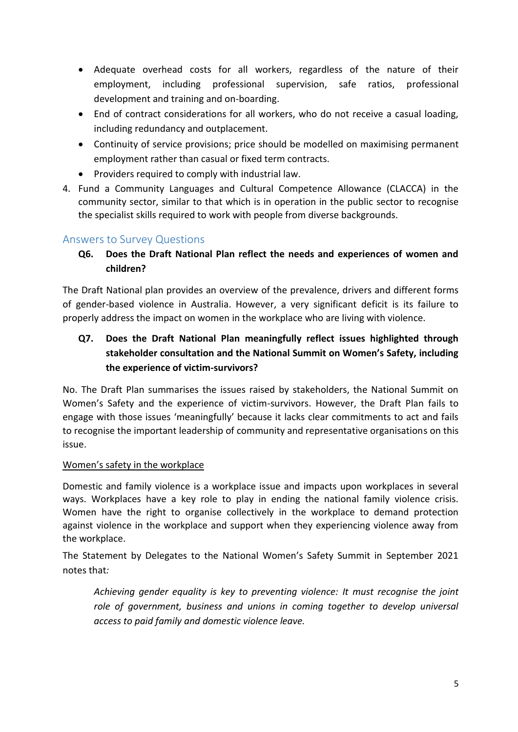- Adequate overhead costs for all workers, regardless of the nature of their employment, including professional supervision, safe ratios, professional development and training and on-boarding.
- End of contract considerations for all workers, who do not receive a casual loading, including redundancy and outplacement.
- Continuity of service provisions; price should be modelled on maximising permanent employment rather than casual or fixed term contracts.
- Providers required to comply with industrial law.
- 4. Fund a Community Languages and Cultural Competence Allowance (CLACCA) in the community sector, similar to that which is in operation in the public sector to recognise the specialist skills required to work with people from diverse backgrounds.

## <span id="page-4-0"></span>Answers to Survey Questions

**Q6. Does the Draft National Plan reflect the needs and experiences of women and children?**

The Draft National plan provides an overview of the prevalence, drivers and different forms of gender-based violence in Australia. However, a very significant deficit is its failure to properly address the impact on women in the workplace who are living with violence.

## **Q7. Does the Draft National Plan meaningfully reflect issues highlighted through stakeholder consultation and the National Summit on Women's Safety, including the experience of victim-survivors?**

No. The Draft Plan summarises the issues raised by stakeholders, the National Summit on Women's Safety and the experience of victim-survivors. However, the Draft Plan fails to engage with those issues 'meaningfully' because it lacks clear commitments to act and fails to recognise the important leadership of community and representative organisations on this issue.

## Women's safety in the workplace

Domestic and family violence is a workplace issue and impacts upon workplaces in several ways. Workplaces have a key role to play in ending the national family violence crisis. Women have the right to organise collectively in the workplace to demand protection against violence in the workplace and support when they experiencing violence away from the workplace.

The Statement by Delegates to the National Women's Safety Summit in September 2021 notes that*:* 

*Achieving gender equality is key to preventing violence: It must recognise the joint role of government, business and unions in coming together to develop universal access to paid family and domestic violence leave.*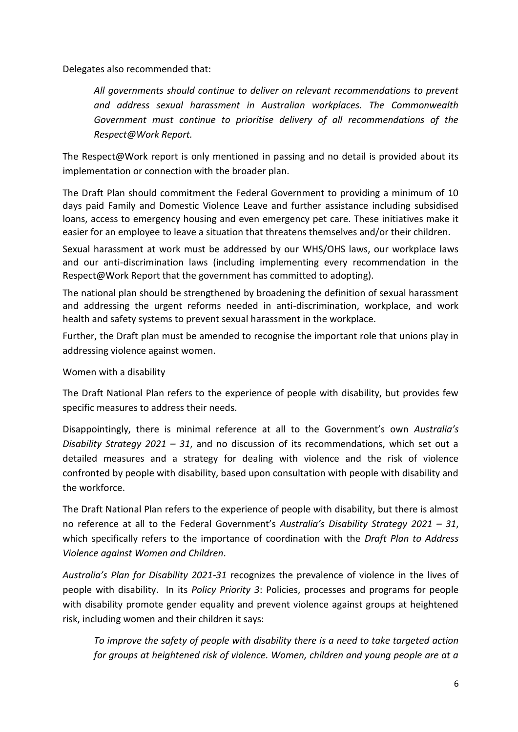Delegates also recommended that:

*All governments should continue to deliver on relevant recommendations to prevent and address sexual harassment in Australian workplaces. The Commonwealth Government must continue to prioritise delivery of all recommendations of the Respect@Work Report.*

The Respect@Work report is only mentioned in passing and no detail is provided about its implementation or connection with the broader plan.

The Draft Plan should commitment the Federal Government to providing a minimum of 10 days paid Family and Domestic Violence Leave and further assistance including subsidised loans, access to emergency housing and even emergency pet care. These initiatives make it easier for an employee to leave a situation that threatens themselves and/or their children.

Sexual harassment at work must be addressed by our WHS/OHS laws, our workplace laws and our anti-discrimination laws (including implementing every recommendation in the Respect@Work Report that the government has committed to adopting).

The national plan should be strengthened by broadening the definition of sexual harassment and addressing the urgent reforms needed in anti-discrimination, workplace, and work health and safety systems to prevent sexual harassment in the workplace.

Further, the Draft plan must be amended to recognise the important role that unions play in addressing violence against women.

#### Women with a disability

The Draft National Plan refers to the experience of people with disability, but provides few specific measures to address their needs.

Disappointingly, there is minimal reference at all to the Government's own *Australia's Disability Strategy 2021 – 31*, and no discussion of its recommendations, which set out a detailed measures and a strategy for dealing with violence and the risk of violence confronted by people with disability, based upon consultation with people with disability and the workforce.

The Draft National Plan refers to the experience of people with disability, but there is almost no reference at all to the Federal Government's *Australia's Disability Strategy 2021 – 31*, which specifically refers to the importance of coordination with the *Draft Plan to Address Violence against Women and Children*.

*Australia's Plan for Disability 2021-31* recognizes the prevalence of violence in the lives of people with disability. In its *Policy Priority 3*: Policies, processes and programs for people with disability promote gender equality and prevent violence against groups at heightened risk, including women and their children it says:

*To improve the safety of people with disability there is a need to take targeted action for groups at heightened risk of violence. Women, children and young people are at a*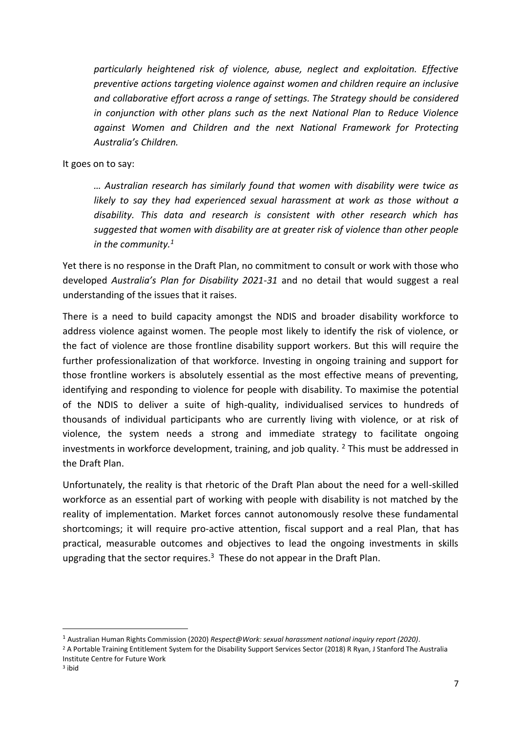*particularly heightened risk of violence, abuse, neglect and exploitation. Effective preventive actions targeting violence against women and children require an inclusive and collaborative effort across a range of settings. The Strategy should be considered in conjunction with other plans such as the next National Plan to Reduce Violence against Women and Children and the next National Framework for Protecting Australia's Children.* 

It goes on to say:

*… Australian research has similarly found that women with disability were twice as likely to say they had experienced sexual harassment at work as those without a disability. This data and research is consistent with other research which has suggested that women with disability are at greater risk of violence than other people in the community.<sup>1</sup>*

Yet there is no response in the Draft Plan, no commitment to consult or work with those who developed *Australia's Plan for Disability 2021-31* and no detail that would suggest a real understanding of the issues that it raises.

There is a need to build capacity amongst the NDIS and broader disability workforce to address violence against women. The people most likely to identify the risk of violence, or the fact of violence are those frontline disability support workers. But this will require the further professionalization of that workforce. Investing in ongoing training and support for those frontline workers is absolutely essential as the most effective means of preventing, identifying and responding to violence for people with disability. To maximise the potential of the NDIS to deliver a suite of high-quality, individualised services to hundreds of thousands of individual participants who are currently living with violence, or at risk of violence, the system needs a strong and immediate strategy to facilitate ongoing investments in workforce development, training, and job quality.  $2$  This must be addressed in the Draft Plan.

Unfortunately, the reality is that rhetoric of the Draft Plan about the need for a well-skilled workforce as an essential part of working with people with disability is not matched by the reality of implementation. Market forces cannot autonomously resolve these fundamental shortcomings; it will require pro-active attention, fiscal support and a real Plan, that has practical, measurable outcomes and objectives to lead the ongoing investments in skills upgrading that the sector requires.<sup>3</sup> These do not appear in the Draft Plan.

**.** 

<sup>1</sup> Australian Human Rights Commission (2020) *Respect@Work: sexual harassment national inquiry report (2020)*.

<sup>&</sup>lt;sup>2</sup> A Portable Training Entitlement System for the Disability Support Services Sector (2018) R Ryan, J Stanford The Australia Institute Centre for Future Work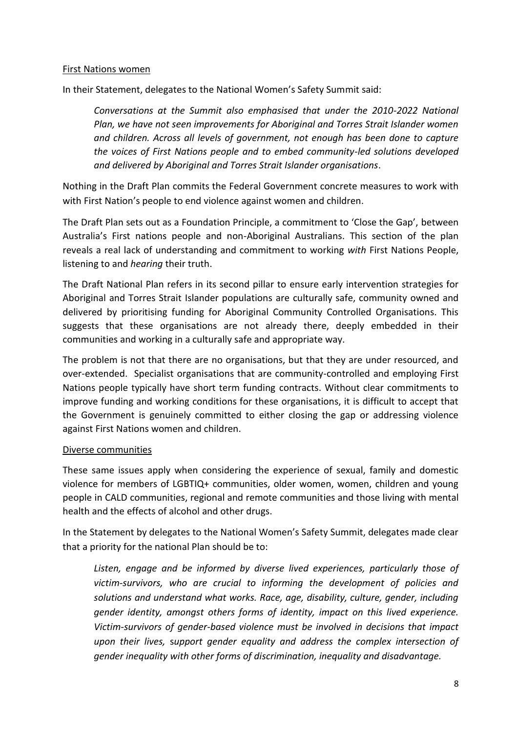#### First Nations women

In their Statement, delegates to the National Women's Safety Summit said:

*Conversations at the Summit also emphasised that under the 2010-2022 National Plan, we have not seen improvements for Aboriginal and Torres Strait Islander women and children. Across all levels of government, not enough has been done to capture the voices of First Nations people and to embed community-led solutions developed and delivered by Aboriginal and Torres Strait Islander organisations*.

Nothing in the Draft Plan commits the Federal Government concrete measures to work with with First Nation's people to end violence against women and children.

The Draft Plan sets out as a Foundation Principle, a commitment to 'Close the Gap', between Australia's First nations people and non-Aboriginal Australians. This section of the plan reveals a real lack of understanding and commitment to working *with* First Nations People, listening to and *hearing* their truth.

The Draft National Plan refers in its second pillar to ensure early intervention strategies for Aboriginal and Torres Strait Islander populations are culturally safe, community owned and delivered by prioritising funding for Aboriginal Community Controlled Organisations. This suggests that these organisations are not already there, deeply embedded in their communities and working in a culturally safe and appropriate way.

The problem is not that there are no organisations, but that they are under resourced, and over-extended. Specialist organisations that are community-controlled and employing First Nations people typically have short term funding contracts. Without clear commitments to improve funding and working conditions for these organisations, it is difficult to accept that the Government is genuinely committed to either closing the gap or addressing violence against First Nations women and children.

#### Diverse communities

These same issues apply when considering the experience of sexual, family and domestic violence for members of LGBTIQ+ communities, older women, women, children and young people in CALD communities, regional and remote communities and those living with mental health and the effects of alcohol and other drugs.

In the Statement by delegates to the National Women's Safety Summit, delegates made clear that a priority for the national Plan should be to:

*Listen, engage and be informed by diverse lived experiences, particularly those of victim-survivors, who are crucial to informing the development of policies and solutions and understand what works. Race, age, disability, culture, gender, including gender identity, amongst others forms of identity, impact on this lived experience. Victim-survivors of gender-based violence must be involved in decisions that impact upon their lives,* s*upport gender equality and address the complex intersection of gender inequality with other forms of discrimination, inequality and disadvantage.*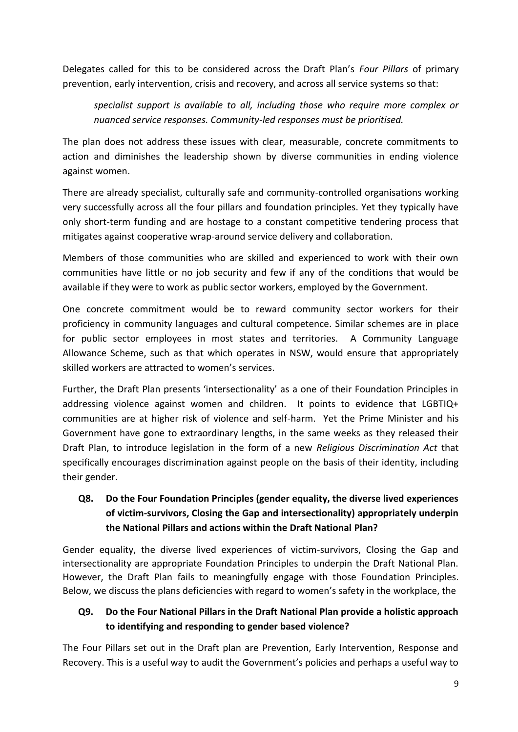Delegates called for this to be considered across the Draft Plan's *Four Pillars* of primary prevention, early intervention, crisis and recovery, and across all service systems so that:

*specialist support is available to all, including those who require more complex or nuanced service responses. Community-led responses must be prioritised.*

The plan does not address these issues with clear, measurable, concrete commitments to action and diminishes the leadership shown by diverse communities in ending violence against women.

There are already specialist, culturally safe and community-controlled organisations working very successfully across all the four pillars and foundation principles. Yet they typically have only short-term funding and are hostage to a constant competitive tendering process that mitigates against cooperative wrap-around service delivery and collaboration.

Members of those communities who are skilled and experienced to work with their own communities have little or no job security and few if any of the conditions that would be available if they were to work as public sector workers, employed by the Government.

One concrete commitment would be to reward community sector workers for their proficiency in community languages and cultural competence. Similar schemes are in place for public sector employees in most states and territories. A Community Language Allowance Scheme, such as that which operates in NSW, would ensure that appropriately skilled workers are attracted to women's services.

Further, the Draft Plan presents 'intersectionality' as a one of their Foundation Principles in addressing violence against women and children. It points to evidence that LGBTIQ+ communities are at higher risk of violence and self-harm. Yet the Prime Minister and his Government have gone to extraordinary lengths, in the same weeks as they released their Draft Plan, to introduce legislation in the form of a new *Religious Discrimination Act* that specifically encourages discrimination against people on the basis of their identity, including their gender.

**Q8. Do the Four Foundation Principles (gender equality, the diverse lived experiences of victim-survivors, Closing the Gap and intersectionality) appropriately underpin the National Pillars and actions within the Draft National Plan?**

Gender equality, the diverse lived experiences of victim-survivors, Closing the Gap and intersectionality are appropriate Foundation Principles to underpin the Draft National Plan. However, the Draft Plan fails to meaningfully engage with those Foundation Principles. Below, we discuss the plans deficiencies with regard to women's safety in the workplace, the

## **Q9. Do the Four National Pillars in the Draft National Plan provide a holistic approach to identifying and responding to gender based violence?**

The Four Pillars set out in the Draft plan are Prevention, Early Intervention, Response and Recovery. This is a useful way to audit the Government's policies and perhaps a useful way to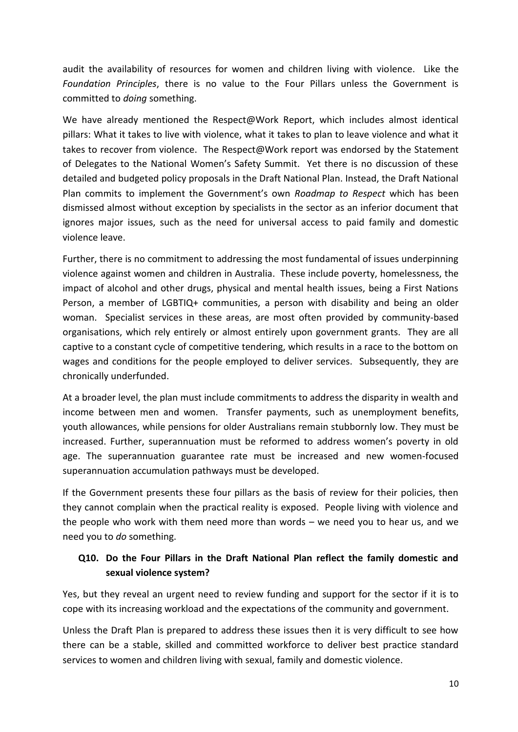audit the availability of resources for women and children living with violence. Like the *Foundation Principles*, there is no value to the Four Pillars unless the Government is committed to *doing* something.

We have already mentioned the Respect@Work Report, which includes almost identical pillars: What it takes to live with violence, what it takes to plan to leave violence and what it takes to recover from violence. The Respect@Work report was endorsed by the Statement of Delegates to the National Women's Safety Summit. Yet there is no discussion of these detailed and budgeted policy proposals in the Draft National Plan. Instead, the Draft National Plan commits to implement the Government's own *Roadmap to Respect* which has been dismissed almost without exception by specialists in the sector as an inferior document that ignores major issues, such as the need for universal access to paid family and domestic violence leave.

Further, there is no commitment to addressing the most fundamental of issues underpinning violence against women and children in Australia. These include poverty, homelessness, the impact of alcohol and other drugs, physical and mental health issues, being a First Nations Person, a member of LGBTIQ+ communities, a person with disability and being an older woman. Specialist services in these areas, are most often provided by community-based organisations, which rely entirely or almost entirely upon government grants. They are all captive to a constant cycle of competitive tendering, which results in a race to the bottom on wages and conditions for the people employed to deliver services. Subsequently, they are chronically underfunded.

At a broader level, the plan must include commitments to address the disparity in wealth and income between men and women. Transfer payments, such as unemployment benefits, youth allowances, while pensions for older Australians remain stubbornly low. They must be increased. Further, superannuation must be reformed to address women's poverty in old age. The superannuation guarantee rate must be increased and new women-focused superannuation accumulation pathways must be developed.

If the Government presents these four pillars as the basis of review for their policies, then they cannot complain when the practical reality is exposed. People living with violence and the people who work with them need more than words – we need you to hear us, and we need you to *do* something.

## **Q10. Do the Four Pillars in the Draft National Plan reflect the family domestic and sexual violence system?**

Yes, but they reveal an urgent need to review funding and support for the sector if it is to cope with its increasing workload and the expectations of the community and government.

Unless the Draft Plan is prepared to address these issues then it is very difficult to see how there can be a stable, skilled and committed workforce to deliver best practice standard services to women and children living with sexual, family and domestic violence.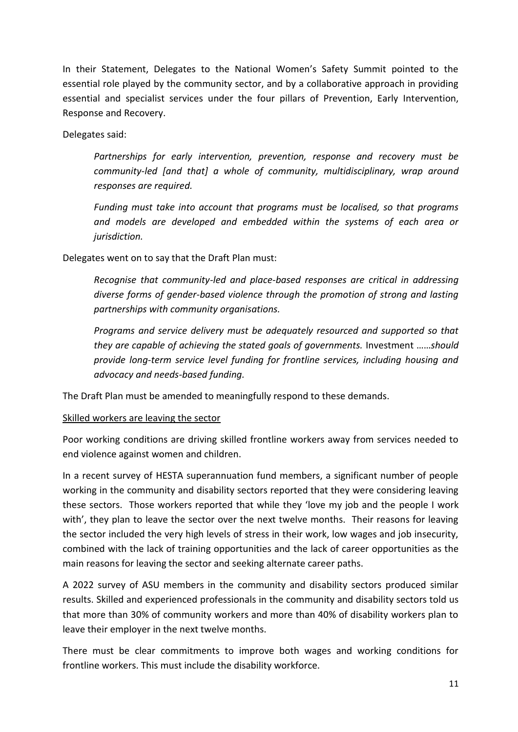In their Statement, Delegates to the National Women's Safety Summit pointed to the essential role played by the community sector, and by a collaborative approach in providing essential and specialist services under the four pillars of Prevention, Early Intervention, Response and Recovery.

Delegates said:

*Partnerships for early intervention, prevention, response and recovery must be community-led [and that] a whole of community, multidisciplinary, wrap around responses are required.* 

*Funding must take into account that programs must be localised, so that programs and models are developed and embedded within the systems of each area or jurisdiction.*

Delegates went on to say that the Draft Plan must:

*Recognise that community-led and place-based responses are critical in addressing diverse forms of gender-based violence through the promotion of strong and lasting partnerships with community organisations.* 

*Programs and service delivery must be adequately resourced and supported so that they are capable of achieving the stated goals of governments.* Investment ……*should provide long-term service level funding for frontline services, including housing and advocacy and needs-based funding.* 

The Draft Plan must be amended to meaningfully respond to these demands.

#### Skilled workers are leaving the sector

Poor working conditions are driving skilled frontline workers away from services needed to end violence against women and children.

In a recent survey of HESTA superannuation fund members, a significant number of people working in the community and disability sectors reported that they were considering leaving these sectors. Those workers reported that while they 'love my job and the people I work with', they plan to leave the sector over the next twelve months. Their reasons for leaving the sector included the very high levels of stress in their work, low wages and job insecurity, combined with the lack of training opportunities and the lack of career opportunities as the main reasons for leaving the sector and seeking alternate career paths.

A 2022 survey of ASU members in the community and disability sectors produced similar results. Skilled and experienced professionals in the community and disability sectors told us that more than 30% of community workers and more than 40% of disability workers plan to leave their employer in the next twelve months.

There must be clear commitments to improve both wages and working conditions for frontline workers. This must include the disability workforce.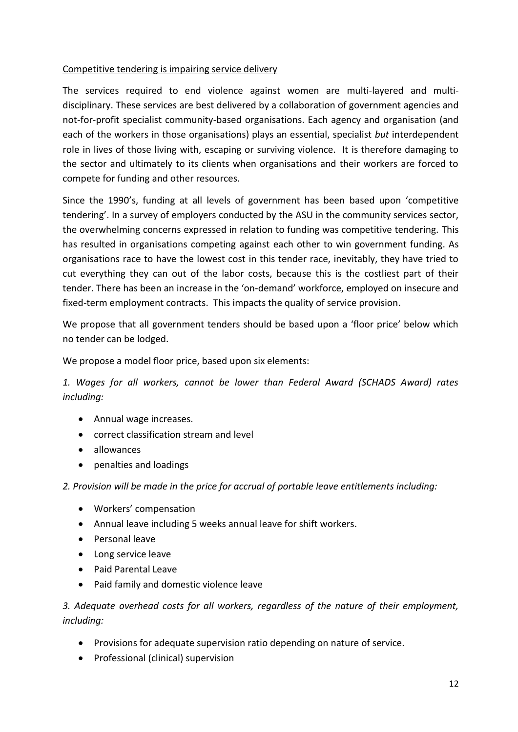#### Competitive tendering is impairing service delivery

The services required to end violence against women are multi-layered and multidisciplinary. These services are best delivered by a collaboration of government agencies and not-for-profit specialist community-based organisations. Each agency and organisation (and each of the workers in those organisations) plays an essential, specialist *but* interdependent role in lives of those living with, escaping or surviving violence. It is therefore damaging to the sector and ultimately to its clients when organisations and their workers are forced to compete for funding and other resources.

Since the 1990's, funding at all levels of government has been based upon 'competitive tendering'. In a survey of employers conducted by the ASU in the community services sector, the overwhelming concerns expressed in relation to funding was competitive tendering. This has resulted in organisations competing against each other to win government funding. As organisations race to have the lowest cost in this tender race, inevitably, they have tried to cut everything they can out of the labor costs, because this is the costliest part of their tender. There has been an increase in the 'on-demand' workforce, employed on insecure and fixed-term employment contracts. This impacts the quality of service provision.

We propose that all government tenders should be based upon a 'floor price' below which no tender can be lodged.

We propose a model floor price, based upon six elements:

*1. Wages for all workers, cannot be lower than Federal Award (SCHADS Award) rates including:*

- Annual wage increases.
- correct classification stream and level
- allowances
- penalties and loadings

*2. Provision will be made in the price for accrual of portable leave entitlements including:*

- Workers' compensation
- Annual leave including 5 weeks annual leave for shift workers.
- Personal leave
- Long service leave
- Paid Parental Leave
- Paid family and domestic violence leave

*3. Adequate overhead costs for all workers, regardless of the nature of their employment, including:* 

- Provisions for adequate supervision ratio depending on nature of service.
- Professional (clinical) supervision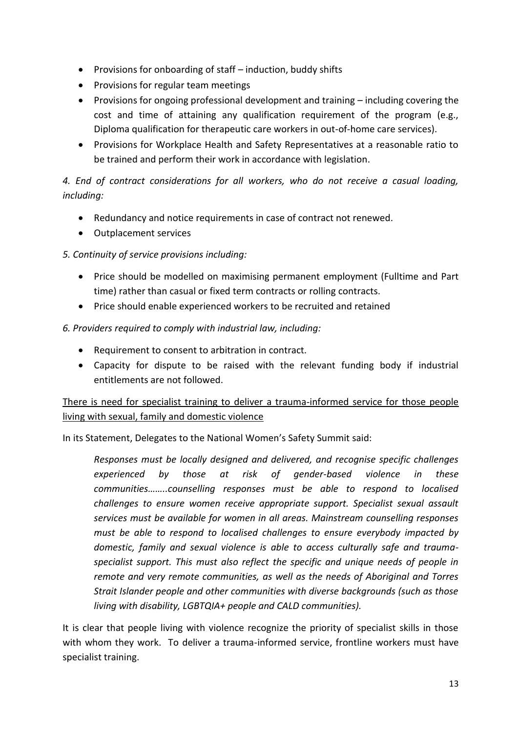- Provisions for onboarding of staff  $-$  induction, buddy shifts
- Provisions for regular team meetings
- Provisions for ongoing professional development and training including covering the cost and time of attaining any qualification requirement of the program (e.g., Diploma qualification for therapeutic care workers in out-of-home care services).
- Provisions for Workplace Health and Safety Representatives at a reasonable ratio to be trained and perform their work in accordance with legislation.

## *4. End of contract considerations for all workers, who do not receive a casual loading, including:*

- Redundancy and notice requirements in case of contract not renewed.
- Outplacement services

#### *5. Continuity of service provisions including:*

- Price should be modelled on maximising permanent employment (Fulltime and Part time) rather than casual or fixed term contracts or rolling contracts.
- Price should enable experienced workers to be recruited and retained

#### *6. Providers required to comply with industrial law, including:*

- Requirement to consent to arbitration in contract.
- Capacity for dispute to be raised with the relevant funding body if industrial entitlements are not followed.

## There is need for specialist training to deliver a trauma-informed service for those people living with sexual, family and domestic violence

In its Statement, Delegates to the National Women's Safety Summit said:

*Responses must be locally designed and delivered, and recognise specific challenges experienced by those at risk of gender-based violence in these communities……..counselling responses must be able to respond to localised challenges to ensure women receive appropriate support. Specialist sexual assault services must be available for women in all areas. Mainstream counselling responses must be able to respond to localised challenges to ensure everybody impacted by domestic, family and sexual violence is able to access culturally safe and traumaspecialist support. This must also reflect the specific and unique needs of people in remote and very remote communities, as well as the needs of Aboriginal and Torres Strait Islander people and other communities with diverse backgrounds (such as those living with disability, LGBTQIA+ people and CALD communities).*

It is clear that people living with violence recognize the priority of specialist skills in those with whom they work. To deliver a trauma-informed service, frontline workers must have specialist training.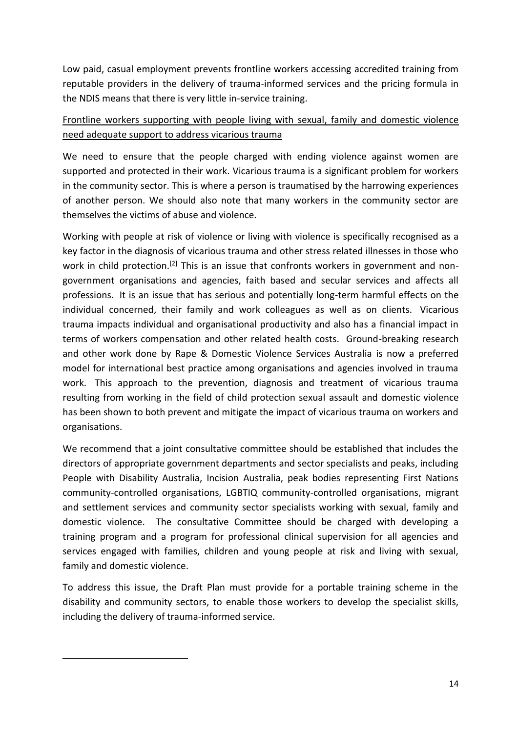Low paid, casual employment prevents frontline workers accessing accredited training from reputable providers in the delivery of trauma-informed services and the pricing formula in the NDIS means that there is very little in-service training.

## Frontline workers supporting with people living with sexual, family and domestic violence need adequate support to address vicarious trauma

We need to ensure that the people charged with ending violence against women are supported and protected in their work. Vicarious trauma is a significant problem for workers in the community sector. This is where a person is traumatised by the harrowing experiences of another person. We should also note that many workers in the community sector are themselves the victims of abuse and violence.

Working with people at risk of violence or living with violence is specifically recognised as a key factor in the diagnosis of vicarious trauma and other stress related illnesses in those who work in child protection.<sup>[2]</sup> This is an issue that confronts workers in government and nongovernment organisations and agencies, faith based and secular services and affects all professions. It is an issue that has serious and potentially long-term harmful effects on the individual concerned, their family and work colleagues as well as on clients. Vicarious trauma impacts individual and organisational productivity and also has a financial impact in terms of workers compensation and other related health costs. Ground-breaking research and other work done by Rape & Domestic Violence Services Australia is now a preferred model for international best practice among organisations and agencies involved in trauma work. This approach to the prevention, diagnosis and treatment of vicarious trauma resulting from working in the field of child protection sexual assault and domestic violence has been shown to both prevent and mitigate the impact of vicarious trauma on workers and organisations.

We recommend that a joint consultative committee should be established that includes the directors of appropriate government departments and sector specialists and peaks, including People with Disability Australia, Incision Australia, peak bodies representing First Nations community-controlled organisations, LGBTIQ community-controlled organisations, migrant and settlement services and community sector specialists working with sexual, family and domestic violence. The consultative Committee should be charged with developing a training program and a program for professional clinical supervision for all agencies and services engaged with families, children and young people at risk and living with sexual, family and domestic violence.

To address this issue, the Draft Plan must provide for a portable training scheme in the disability and community sectors, to enable those workers to develop the specialist skills, including the delivery of trauma-informed service.

**.**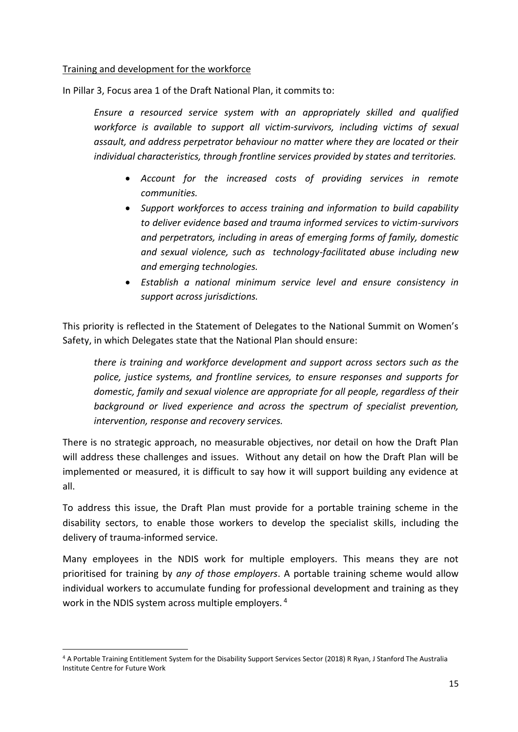#### Training and development for the workforce

In Pillar 3, Focus area 1 of the Draft National Plan, it commits to:

*Ensure a resourced service system with an appropriately skilled and qualified workforce is available to support all victim-survivors, including victims of sexual assault, and address perpetrator behaviour no matter where they are located or their individual characteristics, through frontline services provided by states and territories.*

- *Account for the increased costs of providing services in remote communities.*
- *Support workforces to access training and information to build capability to deliver evidence based and trauma informed services to victim-survivors and perpetrators, including in areas of emerging forms of family, domestic and sexual violence, such as technology-facilitated abuse including new and emerging technologies.*
- *Establish a national minimum service level and ensure consistency in support across jurisdictions.*

This priority is reflected in the Statement of Delegates to the National Summit on Women's Safety, in which Delegates state that the National Plan should ensure:

*there is training and workforce development and support across sectors such as the police, justice systems, and frontline services, to ensure responses and supports for domestic, family and sexual violence are appropriate for all people, regardless of their background or lived experience and across the spectrum of specialist prevention, intervention, response and recovery services.* 

There is no strategic approach, no measurable objectives, nor detail on how the Draft Plan will address these challenges and issues. Without any detail on how the Draft Plan will be implemented or measured, it is difficult to say how it will support building any evidence at all.

To address this issue, the Draft Plan must provide for a portable training scheme in the disability sectors, to enable those workers to develop the specialist skills, including the delivery of trauma-informed service.

Many employees in the NDIS work for multiple employers. This means they are not prioritised for training by *any of those employers*. A portable training scheme would allow individual workers to accumulate funding for professional development and training as they work in the NDIS system across multiple employers. <sup>4</sup>

**.** 

<sup>4</sup> A Portable Training Entitlement System for the Disability Support Services Sector (2018) R Ryan, J Stanford The Australia Institute Centre for Future Work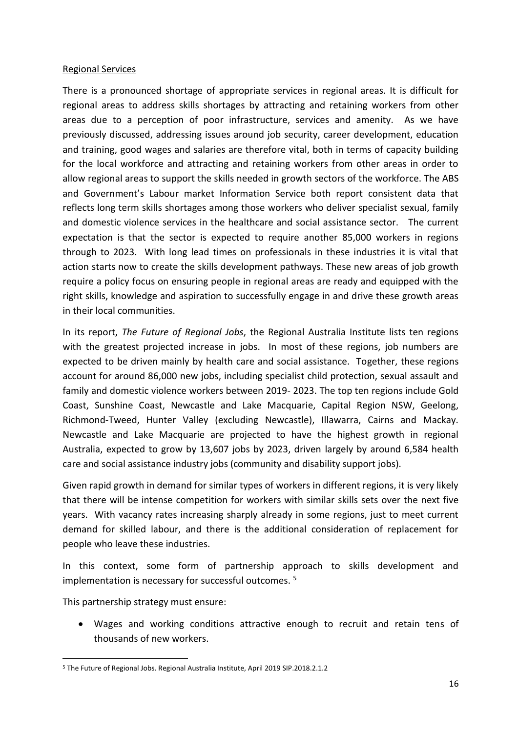#### Regional Services

There is a pronounced shortage of appropriate services in regional areas. It is difficult for regional areas to address skills shortages by attracting and retaining workers from other areas due to a perception of poor infrastructure, services and amenity. As we have previously discussed, addressing issues around job security, career development, education and training, good wages and salaries are therefore vital, both in terms of capacity building for the local workforce and attracting and retaining workers from other areas in order to allow regional areas to support the skills needed in growth sectors of the workforce. The ABS and Government's Labour market Information Service both report consistent data that reflects long term skills shortages among those workers who deliver specialist sexual, family and domestic violence services in the healthcare and social assistance sector. The current expectation is that the sector is expected to require another 85,000 workers in regions through to 2023. With long lead times on professionals in these industries it is vital that action starts now to create the skills development pathways. These new areas of job growth require a policy focus on ensuring people in regional areas are ready and equipped with the right skills, knowledge and aspiration to successfully engage in and drive these growth areas in their local communities.

In its report, *The Future of Regional Jobs*, the Regional Australia Institute lists ten regions with the greatest projected increase in jobs. In most of these regions, job numbers are expected to be driven mainly by health care and social assistance. Together, these regions account for around 86,000 new jobs, including specialist child protection, sexual assault and family and domestic violence workers between 2019- 2023. The top ten regions include Gold Coast, Sunshine Coast, Newcastle and Lake Macquarie, Capital Region NSW, Geelong, Richmond-Tweed, Hunter Valley (excluding Newcastle), Illawarra, Cairns and Mackay. Newcastle and Lake Macquarie are projected to have the highest growth in regional Australia, expected to grow by 13,607 jobs by 2023, driven largely by around 6,584 health care and social assistance industry jobs (community and disability support jobs).

Given rapid growth in demand for similar types of workers in different regions, it is very likely that there will be intense competition for workers with similar skills sets over the next five years. With vacancy rates increasing sharply already in some regions, just to meet current demand for skilled labour, and there is the additional consideration of replacement for people who leave these industries.

In this context, some form of partnership approach to skills development and implementation is necessary for successful outcomes. <sup>5</sup>

This partnership strategy must ensure:

**.** 

 Wages and working conditions attractive enough to recruit and retain tens of thousands of new workers.

<sup>5</sup> The Future of Regional Jobs. Regional Australia Institute, April 2019 SIP.2018.2.1.2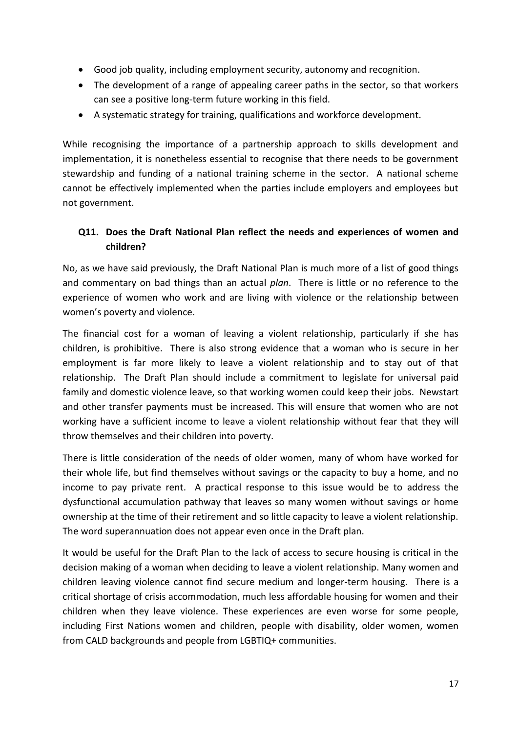- Good job quality, including employment security, autonomy and recognition.
- The development of a range of appealing career paths in the sector, so that workers can see a positive long-term future working in this field.
- A systematic strategy for training, qualifications and workforce development.

While recognising the importance of a partnership approach to skills development and implementation, it is nonetheless essential to recognise that there needs to be government stewardship and funding of a national training scheme in the sector. A national scheme cannot be effectively implemented when the parties include employers and employees but not government.

## **Q11. Does the Draft National Plan reflect the needs and experiences of women and children?**

No, as we have said previously, the Draft National Plan is much more of a list of good things and commentary on bad things than an actual *plan*. There is little or no reference to the experience of women who work and are living with violence or the relationship between women's poverty and violence.

The financial cost for a woman of leaving a violent relationship, particularly if she has children, is prohibitive. There is also strong evidence that a woman who is secure in her employment is far more likely to leave a violent relationship and to stay out of that relationship. The Draft Plan should include a commitment to legislate for universal paid family and domestic violence leave, so that working women could keep their jobs. Newstart and other transfer payments must be increased. This will ensure that women who are not working have a sufficient income to leave a violent relationship without fear that they will throw themselves and their children into poverty.

There is little consideration of the needs of older women, many of whom have worked for their whole life, but find themselves without savings or the capacity to buy a home, and no income to pay private rent. A practical response to this issue would be to address the dysfunctional accumulation pathway that leaves so many women without savings or home ownership at the time of their retirement and so little capacity to leave a violent relationship. The word superannuation does not appear even once in the Draft plan.

It would be useful for the Draft Plan to the lack of access to secure housing is critical in the decision making of a woman when deciding to leave a violent relationship. Many women and children leaving violence cannot find secure medium and longer-term housing. There is a critical shortage of crisis accommodation, much less affordable housing for women and their children when they leave violence. These experiences are even worse for some people, including First Nations women and children, people with disability, older women, women from CALD backgrounds and people from LGBTIQ+ communities.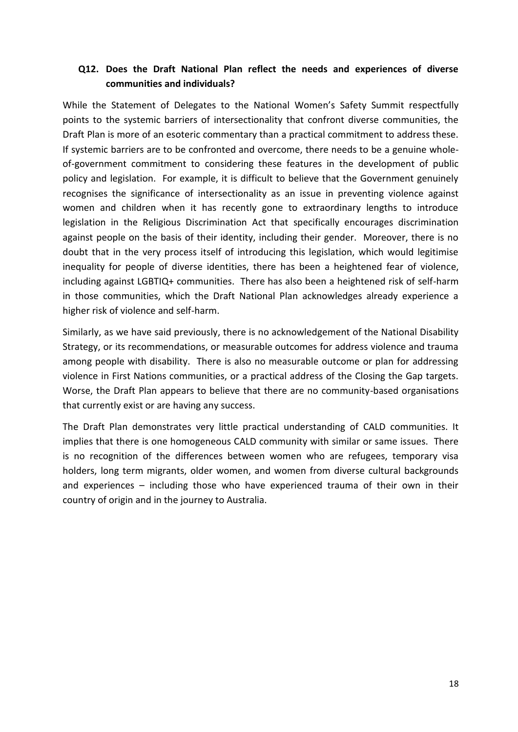## **Q12. Does the Draft National Plan reflect the needs and experiences of diverse communities and individuals?**

While the Statement of Delegates to the National Women's Safety Summit respectfully points to the systemic barriers of intersectionality that confront diverse communities, the Draft Plan is more of an esoteric commentary than a practical commitment to address these. If systemic barriers are to be confronted and overcome, there needs to be a genuine wholeof-government commitment to considering these features in the development of public policy and legislation. For example, it is difficult to believe that the Government genuinely recognises the significance of intersectionality as an issue in preventing violence against women and children when it has recently gone to extraordinary lengths to introduce legislation in the Religious Discrimination Act that specifically encourages discrimination against people on the basis of their identity, including their gender. Moreover, there is no doubt that in the very process itself of introducing this legislation, which would legitimise inequality for people of diverse identities, there has been a heightened fear of violence, including against LGBTIQ+ communities. There has also been a heightened risk of self-harm in those communities, which the Draft National Plan acknowledges already experience a higher risk of violence and self-harm.

Similarly, as we have said previously, there is no acknowledgement of the National Disability Strategy, or its recommendations, or measurable outcomes for address violence and trauma among people with disability. There is also no measurable outcome or plan for addressing violence in First Nations communities, or a practical address of the Closing the Gap targets. Worse, the Draft Plan appears to believe that there are no community-based organisations that currently exist or are having any success.

The Draft Plan demonstrates very little practical understanding of CALD communities. It implies that there is one homogeneous CALD community with similar or same issues. There is no recognition of the differences between women who are refugees, temporary visa holders, long term migrants, older women, and women from diverse cultural backgrounds and experiences – including those who have experienced trauma of their own in their country of origin and in the journey to Australia.